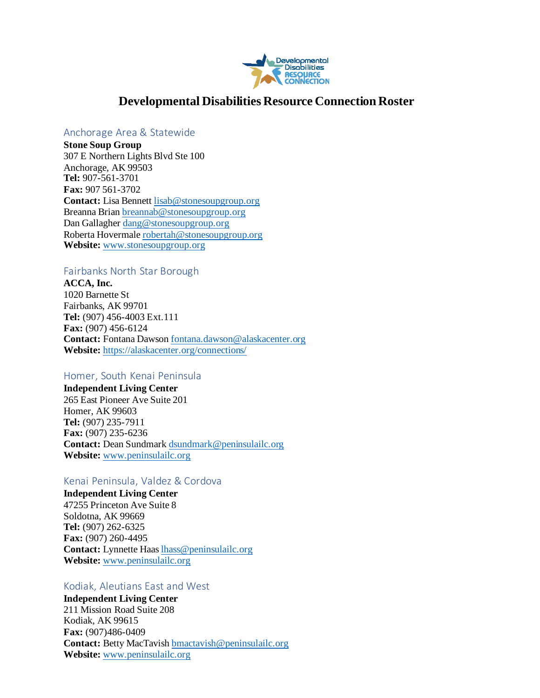

# **Developmental Disabilities Resource Connection Roster**

#### Anchorage Area & Statewide

**Stone Soup Group** 307 E Northern Lights Blvd Ste 100 Anchorage, AK 99503 **Tel:** 907-561-3701 **Fax:** 907 561-3702 **Contact:** Lisa Bennet[t lisab@stonesoupgroup.org](mailto:lisab@stonesoupgroup.org) Breanna Bria[n breannab@stonesoupgroup.org](mailto:breannab@stonesoupgroup.org) Dan Gallagher [dang@stonesoupgroup.org](mailto:dang@stonesoupgroup.org) Roberta Hovermal[e robertah@stonesoupgroup.org](mailto:robertah@stonesoupgroup.org) **Website:** [www.stonesoupgroup.org](http://www.stonesoupgroup.org/)

# Fairbanks North Star Borough

**ACCA, Inc.** 1020 Barnette St Fairbanks, AK 99701 **Tel:** (907) 456-4003 Ext.111 **Fax:** (907) 456-6124 **Contact:** Fontana Dawso[n fontana.dawson@alaskacenter.org](mailto:fdawson@alaskacenter.directak.net) **Website:** <https://alaskacenter.org/connections/>

# Homer, South Kenai Peninsula

**Independent Living Center**  265 East Pioneer Ave Suite 201 Homer, AK 99603 **Tel:** (907) 235-7911 **Fax:** (907) 235-6236 **Contact:** Dean Sundmar[k dsundmark@peninsulailc.org](mailto:dsundmark@peninsulailc.org) **Website:** [www.peninsulailc.org](http://www.peninsulailc.org/)

#### Kenai Peninsula, Valdez & Cordova

**Independent Living Center** 47255 Princeton Ave Suite 8 Soldotna, AK 99669 **Tel:** (907) 262-6325 **Fax:** (907) 260-4495 **Contact:** Lynnette Haa[s lhass@peninsulailc.org](mailto:lhass@peninsulailc.org) **Website:** [www.peninsulailc.org](http://www.peninsulailc.org/)

# Kodiak, Aleutians East and West

**Independent Living Center** 211 Mission Road Suite 208 Kodiak, AK 99615 **Fax:** (907)486-0409 **Contact:** Betty MacTavis[h bmactavish@peninsulailc.org](mailto:kwood@peninsulailc.org) **Website:** [www.peninsulailc.org](http://www.peninsulailc.org/)